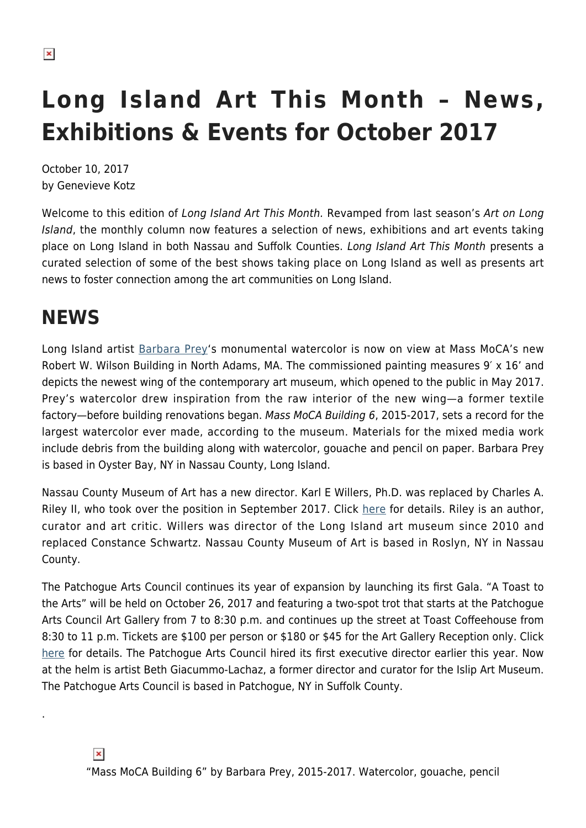# **Long Island Art This Month – News, Exhibitions & Events for October 2017**

October 10, 2017 by Genevieve Kotz

Welcome to this edition of Long Island Art This Month. Revamped from last season's Art on Long Island, the monthly column now features a selection of news, exhibitions and art events taking place on Long Island in both Nassau and Suffolk Counties. Long Island Art This Month presents a curated selection of some of the best shows taking place on Long Island as well as presents art news to foster connection among the art communities on Long Island.

## **NEWS**

.

 $\pmb{\times}$ 

Long Island artist [Barbara Prey](http://www.barbaraprey.com/)'s monumental watercolor is now on view at Mass MoCA's new Robert W. Wilson Building in North Adams, MA. The commissioned painting measures 9′ x 16' and depicts the newest wing of the contemporary art museum, which opened to the public in May 2017. Prey's watercolor drew inspiration from the raw interior of the new wing—a former textile factory—before building renovations began. Mass MoCA Building 6, 2015-2017, sets a record for the largest watercolor ever made, according to the museum. Materials for the mixed media work include debris from the building along with watercolor, gouache and pencil on paper. Barbara Prey is based in Oyster Bay, NY in Nassau County, Long Island.

Nassau County Museum of Art has a new director. Karl E Willers, Ph.D. was replaced by Charles A. Riley II, who took over the position in September 2017. Click [here](https://hamptonsarthub.com/2017/08/14/news-nassau-county-museum-of-art-appoints-charles-a-riley-ii-as-new-director/) for details. Riley is an author, curator and art critic. Willers was director of the Long Island art museum since 2010 and replaced Constance Schwartz. Nassau County Museum of Art is based in Roslyn, NY in Nassau County.

The Patchogue Arts Council continues its year of expansion by launching its first Gala. "A Toast to the Arts" will be held on October 26, 2017 and featuring a two-spot trot that starts at the Patchogue Arts Council Art Gallery from 7 to 8:30 p.m. and continues up the street at Toast Coffeehouse from 8:30 to 11 p.m. Tickets are \$100 per person or \$180 or \$45 for the Art Gallery Reception only. Click [here](https://patchoguearts.org/toast-arts-patchogue-arts-council-founders-gala/) for details. The Patchogue Arts Council hired its first executive director earlier this year. Now at the helm is artist Beth Giacummo-Lachaz, a former director and curator for the Islip Art Museum. The Patchogue Arts Council is based in Patchogue, NY in Suffolk County.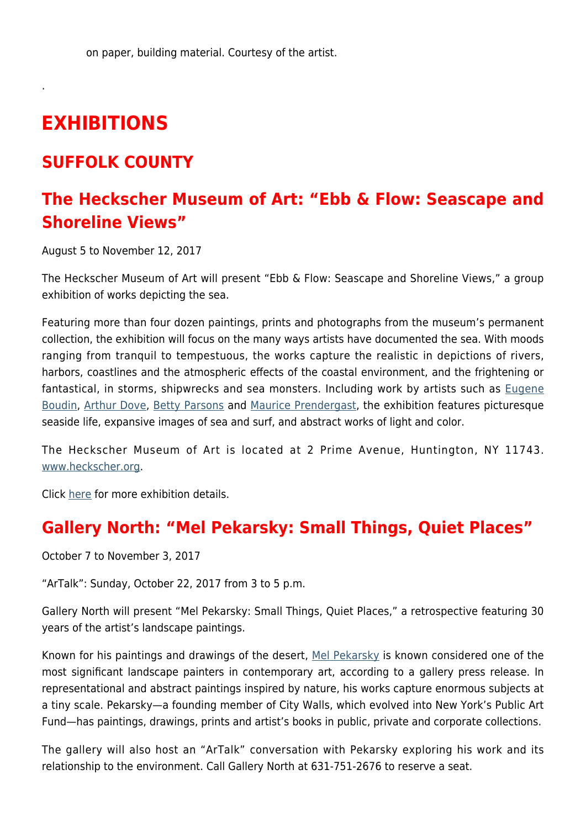## **EXHIBITIONS**

.

#### **SUFFOLK COUNTY**

### **The Heckscher Museum of Art: "Ebb & Flow: Seascape and Shoreline Views"**

August 5 to November 12, 2017

The Heckscher Museum of Art will present "Ebb & Flow: Seascape and Shoreline Views," a group exhibition of works depicting the sea.

Featuring more than four dozen paintings, prints and photographs from the museum's permanent collection, the exhibition will focus on the many ways artists have documented the sea. With moods ranging from tranquil to tempestuous, the works capture the realistic in depictions of rivers, harbors, coastlines and the atmospheric effects of the coastal environment, and the frightening or fantastical, in storms, shipwrecks and sea monsters. Including work by artists such as [Eugene](http://www.eugeneboudin.org/) [Boudin](http://www.eugeneboudin.org/), [Arthur Dove,](https://www.metmuseum.org/toah/hd/dove/hd_dove.htm) [Betty Parsons](http://www.artnews.com/2017/06/16/from-the-archives-betty-parsons-gallerist-turned-artist-takes-the-spotlight-in-1979/) and [Maurice Prendergast](https://www.mauricebrazilprendergast.org/), the exhibition features picturesque seaside life, expansive images of sea and surf, and abstract works of light and color.

The Heckscher Museum of Art is located at 2 Prime Avenue, Huntington, NY 11743. [www.heckscher.org](http://www.heckscher.org/).

Click [here](http://www.heckscher.org/pages.php?which_page=exhibition_detail&which_exhibition=141) for more exhibition details.

#### **Gallery North: "Mel Pekarsky: Small Things, Quiet Places"**

October 7 to November 3, 2017

"ArTalk": Sunday, October 22, 2017 from 3 to 5 p.m.

Gallery North will present "Mel Pekarsky: Small Things, Quiet Places," a retrospective featuring 30 years of the artist's landscape paintings.

Known for his paintings and drawings of the desert, [Mel Pekarsky](https://en.wikipedia.org/wiki/Mel_Pekarsky) is known considered one of the most significant landscape painters in contemporary art, according to a gallery press release. In representational and abstract paintings inspired by nature, his works capture enormous subjects at a tiny scale. Pekarsky—a founding member of City Walls, which evolved into New York's Public Art Fund—has paintings, drawings, prints and artist's books in public, private and corporate collections.

The gallery will also host an "ArTalk" conversation with Pekarsky exploring his work and its relationship to the environment. Call Gallery North at 631-751-2676 to reserve a seat.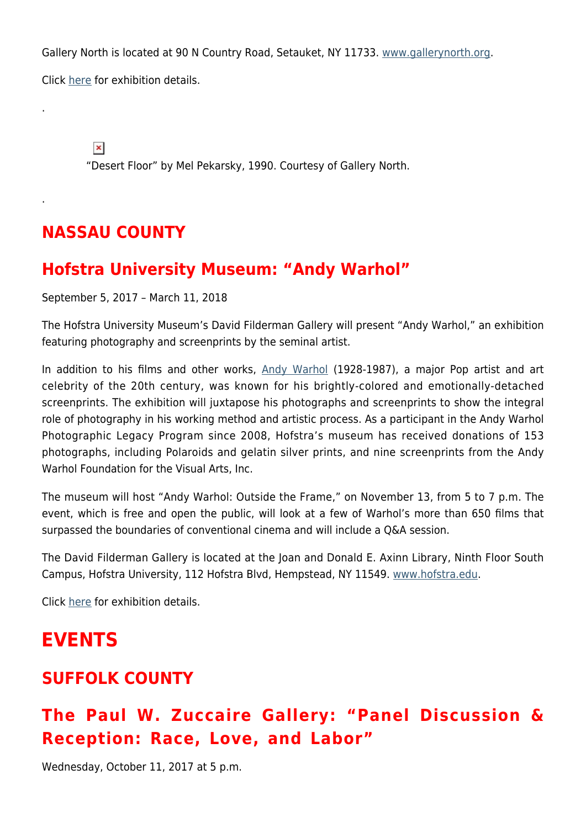Gallery North is located at 90 N Country Road, Setauket, NY 11733. [www.gallerynorth.org](http://www.gallerynorth.org). Click [here](http://www.gallerynorth.org/current) for exhibition details.

 $\pmb{\times}$ 

.

.

"Desert Floor" by Mel Pekarsky, 1990. Courtesy of Gallery North.

## **NASSAU COUNTY**

#### **Hofstra University Museum: "Andy Warhol"**

September 5, 2017 – March 11, 2018

The Hofstra University Museum's David Filderman Gallery will present "Andy Warhol," an exhibition featuring photography and screenprints by the seminal artist.

In addition to his films and other works, [Andy Warhol](https://hamptonsarthub.com/2013/06/25/andys-hamptons-warhol-still-summers-here/) (1928-1987), a major Pop artist and art celebrity of the 20th century, was known for his brightly-colored and emotionally-detached screenprints. The exhibition will juxtapose his photographs and screenprints to show the integral role of photography in his working method and artistic process. As a participant in the Andy Warhol Photographic Legacy Program since 2008, Hofstra's museum has received donations of 153 photographs, including Polaroids and gelatin silver prints, and nine screenprints from the Andy Warhol Foundation for the Visual Arts, Inc.

The museum will host "Andy Warhol: Outside the Frame," on November 13, from 5 to 7 p.m. The event, which is free and open the public, will look at a few of Warhol's more than 650 films that surpassed the boundaries of conventional cinema and will include a Q&A session.

The David Filderman Gallery is located at the Joan and Donald E. Axinn Library, Ninth Floor South Campus, Hofstra University, 112 Hofstra Blvd, Hempstead, NY 11549. [www.hofstra.edu.](https://www.hofstra.edu/community/museum/)

Click [here](https://www.hofstra.edu/community/museum/museum_exhibition_andy_warhol.html) for exhibition details.

## **EVENTS**

#### **SUFFOLK COUNTY**

## **The Paul W. Zuccaire Gallery: "Panel Discussion & Reception: Race, Love, and Labor"**

Wednesday, October 11, 2017 at 5 p.m.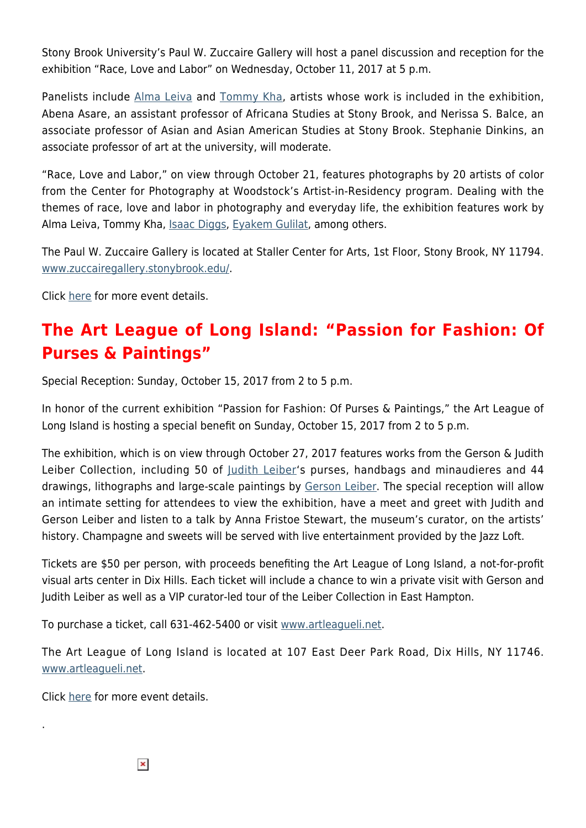Stony Brook University's Paul W. Zuccaire Gallery will host a panel discussion and reception for the exhibition "Race, Love and Labor" on Wednesday, October 11, 2017 at 5 p.m.

Panelists include [Alma Leiva](https://www.almaleiva.net/) and [Tommy Kha](http://tommykha.com/), artists whose work is included in the exhibition, Abena Asare, an assistant professor of Africana Studies at Stony Brook, and Nerissa S. Balce, an associate professor of Asian and Asian American Studies at Stony Brook. Stephanie Dinkins, an associate professor of art at the university, will moderate.

"Race, Love and Labor," on view through October 21, features photographs by 20 artists of color from the Center for Photography at Woodstock's Artist-in-Residency program. Dealing with the themes of race, love and labor in photography and everyday life, the exhibition features work by Alma Leiva, Tommy Kha, *Isaac Diggs*, [Eyakem Gulilat,](http://www.eyakem.com/) among others.

The Paul W. Zuccaire Gallery is located at Staller Center for Arts, 1st Floor, Stony Brook, NY 11794. [www.zuccairegallery.stonybrook.edu/](https://zuccairegallery.stonybrook.edu/).

Click [here](https://zuccairegallery.stonybrook.edu/2017/09/race-love-and-labor/) for more event details.

## **The Art League of Long Island: "Passion for Fashion: Of Purses & Paintings"**

Special Reception: Sunday, October 15, 2017 from 2 to 5 p.m.

In honor of the current exhibition "Passion for Fashion: Of Purses & Paintings," the Art League of Long Island is hosting a special benefit on Sunday, October 15, 2017 from 2 to 5 p.m.

The exhibition, which is on view through October 27, 2017 features works from the Gerson & Judith Leiber Collection, including 50 of [Judith Leiber](https://www.judithleiber.com/)'s purses, handbags and minaudieres and 44 drawings, lithographs and large-scale paintings by [Gerson Leiber.](http://www.leibermuseum.org/gerson-leiber/) The special reception will allow an intimate setting for attendees to view the exhibition, have a meet and greet with Judith and Gerson Leiber and listen to a talk by Anna Fristoe Stewart, the museum's curator, on the artists' history. Champagne and sweets will be served with live entertainment provided by the Jazz Loft.

Tickets are \$50 per person, with proceeds benefiting the Art League of Long Island, a not-for-profit visual arts center in Dix Hills. Each ticket will include a chance to win a private visit with Gerson and Judith Leiber as well as a VIP curator-led tour of the Leiber Collection in East Hampton.

To purchase a ticket, call 631-462-5400 or visit [www.artleagueli.net.](http://www.artleagueli.net)

The Art League of Long Island is located at 107 East Deer Park Road, Dix Hills, NY 11746. [www.artleagueli.net.](http://www.artleagueli.net)

Click [here](http://www.artleagueli.net) for more event details.

.

 $\pmb{\times}$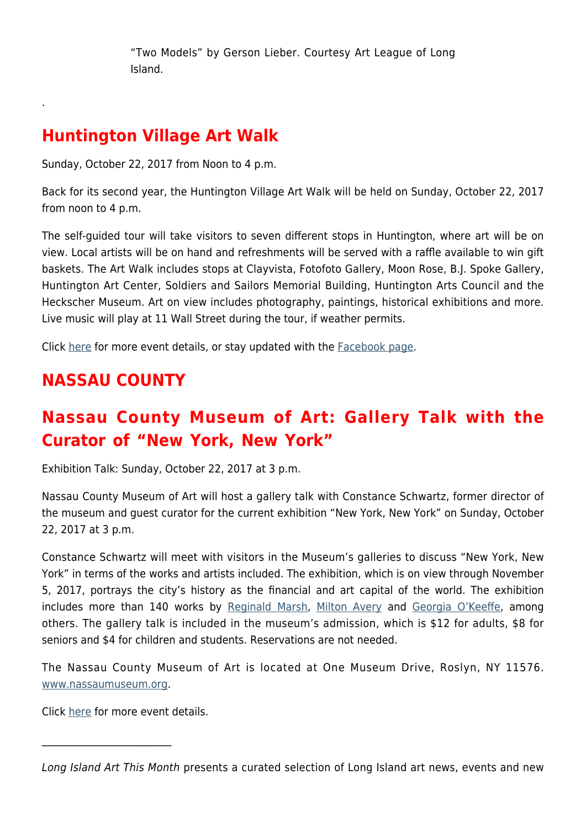"Two Models" by Gerson Lieber. Courtesy Art League of Long Island.

### **Huntington Village Art Walk**

.

Sunday, October 22, 2017 from Noon to 4 p.m.

Back for its second year, the Huntington Village Art Walk will be held on Sunday, October 22, 2017 from noon to 4 p.m.

The self-guided tour will take visitors to seven different stops in Huntington, where art will be on view. Local artists will be on hand and refreshments will be served with a raffle available to win gift baskets. The Art Walk includes stops at Clayvista, Fotofoto Gallery, Moon Rose, B.J. Spoke Gallery, Huntington Art Center, Soldiers and Sailors Memorial Building, Huntington Arts Council and the Heckscher Museum. Art on view includes photography, paintings, historical exhibitions and more. Live music will play at 11 Wall Street during the tour, if weather permits.

Click [here](https://www.huntingtonartcenter.com/artwalk.html) for more event details, or stay updated with the [Facebook page](https://www.facebook.com/events/295435694196332).

## **NASSAU COUNTY**

## **Nassau County Museum of Art: Gallery Talk with the Curator of "New York, New York"**

Exhibition Talk: Sunday, October 22, 2017 at 3 p.m.

Nassau County Museum of Art will host a gallery talk with Constance Schwartz, former director of the museum and guest curator for the current exhibition "New York, New York" on Sunday, October 22, 2017 at 3 p.m.

Constance Schwartz will meet with visitors in the Museum's galleries to discuss "New York, New York" in terms of the works and artists included. The exhibition, which is on view through November 5, 2017, portrays the city's history as the financial and art capital of the world. The exhibition includes more than 140 works by [Reginald Marsh,](https://en.wikipedia.org/wiki/Reginald_Marsh_(artist)) [Milton Avery](https://www.artsy.net/artist/milton-avery) and [Georgia O'Keeffe](https://www.okeeffemuseum.org/), among others. The gallery talk is included in the museum's admission, which is \$12 for adults, \$8 for seniors and \$4 for children and students. Reservations are not needed.

The Nassau County Museum of Art is located at One Museum Drive, Roslyn, NY 11576. [www.nassaumuseum.org](http://www.nassaumuseum.org/).

Click [here](http://www.nassaumuseum.org/) for more event details.

\_\_\_\_\_\_\_\_\_\_\_\_\_\_\_\_\_\_\_\_\_\_\_\_\_\_

Long Island Art This Month presents a curated selection of Long Island art news, events and new